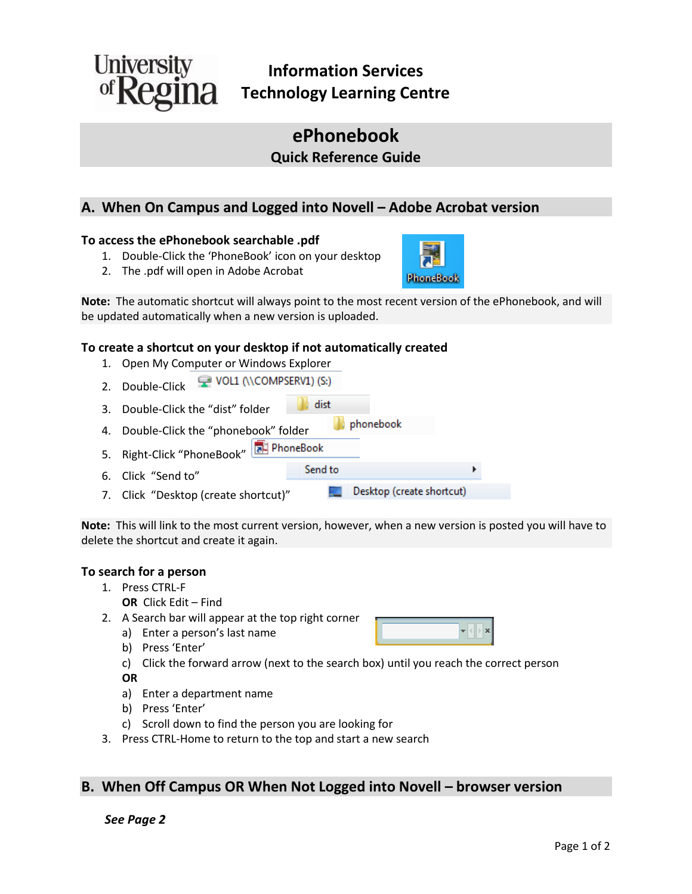

# **ePhonebook Quick Reference Guide**

## **A. When On Campus and Logged into Novell – Adobe Acrobat version**

### **To access the ePhonebook searchable .pdf**

- 1. Double-Click the 'PhoneBook' icon on your desktop
- 2. The .pdf will open in Adobe Acrobat

**Note:** The automatic shortcut will always point to the most recent version of the ePhonebook, and will be updated automatically when a new version is uploaded.

### **To create a shortcut on your desktop if not automatically created**

- 1. Open My Computer or Windows Explorer
- VOL1 (\\COMPSERV1) (S:) 2. Double-Click
- **dist** 3. Double-Click the "dist" folder
- phonebook 4. Double-Click the "phonebook" folder
- 5. Right-Click "PhoneBook" **BE** PhoneBook
- Send to 6. Click "Send to"
- Desktop (create shortcut) 7. Click "Desktop (create shortcut)"

**Note:** This will link to the most current version, however, when a new version is posted you will have to delete the shortcut and create it again.

### **To search for a person**

- 1. Press CTRL-F
	- **OR** Click Edit Find
- 2. A Search bar will appear at the top right corner
	- a) Enter a person's last name
	- b) Press 'Enter'
	- c) Click the forward arrow (next to the search box) until you reach the correct person

**OR**

- a) Enter a department name
- b) Press 'Enter'
- c) Scroll down to find the person you are looking for
- 3. Press CTRL-Home to return to the top and start a new search

# **B. When Off Campus OR When Not Logged into Novell – browser version**